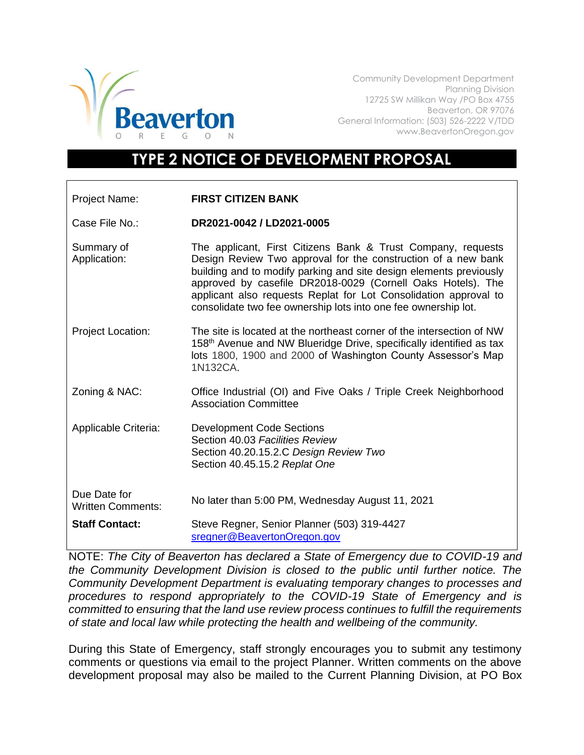

Community Development Department Planning Division 12725 SW Millikan Way /PO Box 4755 Beaverton, OR 97076 General Information: (503) 526-2222 V/TDD www.BeavertonOregon.gov

## **TYPE 2 NOTICE OF DEVELOPMENT PROPOSAL**

| Project Name:                            | <b>FIRST CITIZEN BANK</b>                                                                                                                                                                                                                                                                                                                                                                                |
|------------------------------------------|----------------------------------------------------------------------------------------------------------------------------------------------------------------------------------------------------------------------------------------------------------------------------------------------------------------------------------------------------------------------------------------------------------|
| Case File No.:                           | DR2021-0042 / LD2021-0005                                                                                                                                                                                                                                                                                                                                                                                |
| Summary of<br>Application:               | The applicant, First Citizens Bank & Trust Company, requests<br>Design Review Two approval for the construction of a new bank<br>building and to modify parking and site design elements previously<br>approved by casefile DR2018-0029 (Cornell Oaks Hotels). The<br>applicant also requests Replat for Lot Consolidation approval to<br>consolidate two fee ownership lots into one fee ownership lot. |
| <b>Project Location:</b>                 | The site is located at the northeast corner of the intersection of NW<br>158 <sup>th</sup> Avenue and NW Blueridge Drive, specifically identified as tax<br>lots 1800, 1900 and 2000 of Washington County Assessor's Map<br>1N132CA.                                                                                                                                                                     |
| Zoning & NAC:                            | Office Industrial (OI) and Five Oaks / Triple Creek Neighborhood<br><b>Association Committee</b>                                                                                                                                                                                                                                                                                                         |
| Applicable Criteria:                     | <b>Development Code Sections</b><br>Section 40.03 Facilities Review<br>Section 40.20.15.2.C Design Review Two<br>Section 40.45.15.2 Replat One                                                                                                                                                                                                                                                           |
| Due Date for<br><b>Written Comments:</b> | No later than 5:00 PM, Wednesday August 11, 2021                                                                                                                                                                                                                                                                                                                                                         |
| <b>Staff Contact:</b>                    | Steve Regner, Senior Planner (503) 319-4427<br>sregner@BeavertonOregon.gov                                                                                                                                                                                                                                                                                                                               |

NOTE: *The City of Beaverton has declared a State of Emergency due to COVID-19 and the Community Development Division is closed to the public until further notice. The Community Development Department is evaluating temporary changes to processes and procedures to respond appropriately to the COVID-19 State of Emergency and is committed to ensuring that the land use review process continues to fulfill the requirements of state and local law while protecting the health and wellbeing of the community.*

During this State of Emergency, staff strongly encourages you to submit any testimony comments or questions via email to the project Planner. Written comments on the above development proposal may also be mailed to the Current Planning Division, at PO Box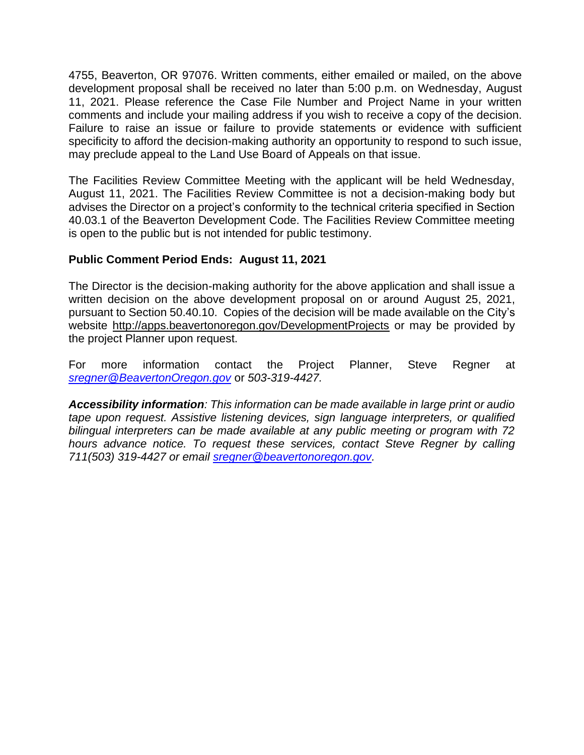4755, Beaverton, OR 97076. Written comments, either emailed or mailed, on the above development proposal shall be received no later than 5:00 p.m. on Wednesday, August 11, 2021. Please reference the Case File Number and Project Name in your written comments and include your mailing address if you wish to receive a copy of the decision. Failure to raise an issue or failure to provide statements or evidence with sufficient specificity to afford the decision-making authority an opportunity to respond to such issue, may preclude appeal to the Land Use Board of Appeals on that issue.

The Facilities Review Committee Meeting with the applicant will be held Wednesday, August 11, 2021. The Facilities Review Committee is not a decision-making body but advises the Director on a project's conformity to the technical criteria specified in Section 40.03.1 of the Beaverton Development Code. The Facilities Review Committee meeting is open to the public but is not intended for public testimony.

## **Public Comment Period Ends: August 11, 2021**

The Director is the decision-making authority for the above application and shall issue a written decision on the above development proposal on or around August 25, 2021, pursuant to Section 50.40.10. Copies of the decision will be made available on the City's website<http://apps.beavertonoregon.gov/DevelopmentProjects> or may be provided by the project Planner upon request.

For more information contact the Project Planner, Steve Regner at *[sregner@BeavertonOregon.gov](mailto:sregner@BeavertonOregon.gov)* or *503-319-4427.* 

*Accessibility information: This information can be made available in large print or audio tape upon request. Assistive listening devices, sign language interpreters, or qualified bilingual interpreters can be made available at any public meeting or program with 72 hours advance notice. To request these services, contact Steve Regner by calling 711(503) 319-4427 or email [sregner@beavertonoregon.gov.](mailto:sregner@beavertonoregon.gov)*